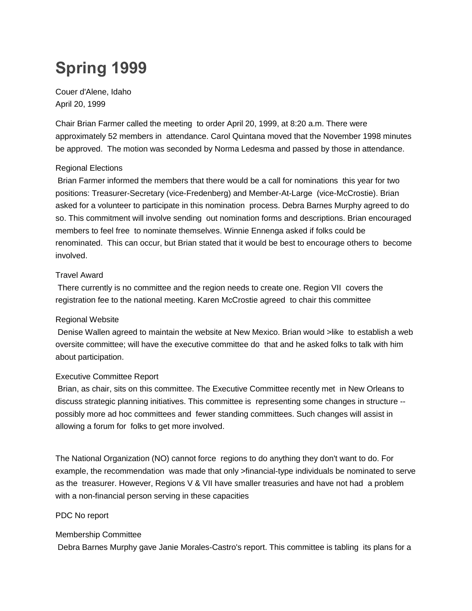# **Spring 1999**

Couer d'Alene, Idaho April 20, 1999

Chair Brian Farmer called the meeting to order April 20, 1999, at 8:20 a.m. There were approximately 52 members in attendance. Carol Quintana moved that the November 1998 minutes be approved. The motion was seconded by Norma Ledesma and passed by those in attendance.

#### Regional Elections

Brian Farmer informed the members that there would be a call for nominations this year for two positions: Treasurer-Secretary (vice-Fredenberg) and Member-At-Large (vice-McCrostie). Brian asked for a volunteer to participate in this nomination process. Debra Barnes Murphy agreed to do so. This commitment will involve sending out nomination forms and descriptions. Brian encouraged members to feel free to nominate themselves. Winnie Ennenga asked if folks could be renominated. This can occur, but Brian stated that it would be best to encourage others to become involved.

#### Travel Award

There currently is no committee and the region needs to create one. Region VII covers the registration fee to the national meeting. Karen McCrostie agreed to chair this committee

# Regional Website

Denise Wallen agreed to maintain the website at New Mexico. Brian would >like to establish a web oversite committee; will have the executive committee do that and he asked folks to talk with him about participation.

# Executive Committee Report

Brian, as chair, sits on this committee. The Executive Committee recently met in New Orleans to discuss strategic planning initiatives. This committee is representing some changes in structure - possibly more ad hoc committees and fewer standing committees. Such changes will assist in allowing a forum for folks to get more involved.

The National Organization (NO) cannot force regions to do anything they don't want to do. For example, the recommendation was made that only >financial-type individuals be nominated to serve as the treasurer. However, Regions V & VII have smaller treasuries and have not had a problem with a non-financial person serving in these capacities

# PDC No report

# Membership Committee

Debra Barnes Murphy gave Janie Morales-Castro's report. This committee is tabling its plans for a